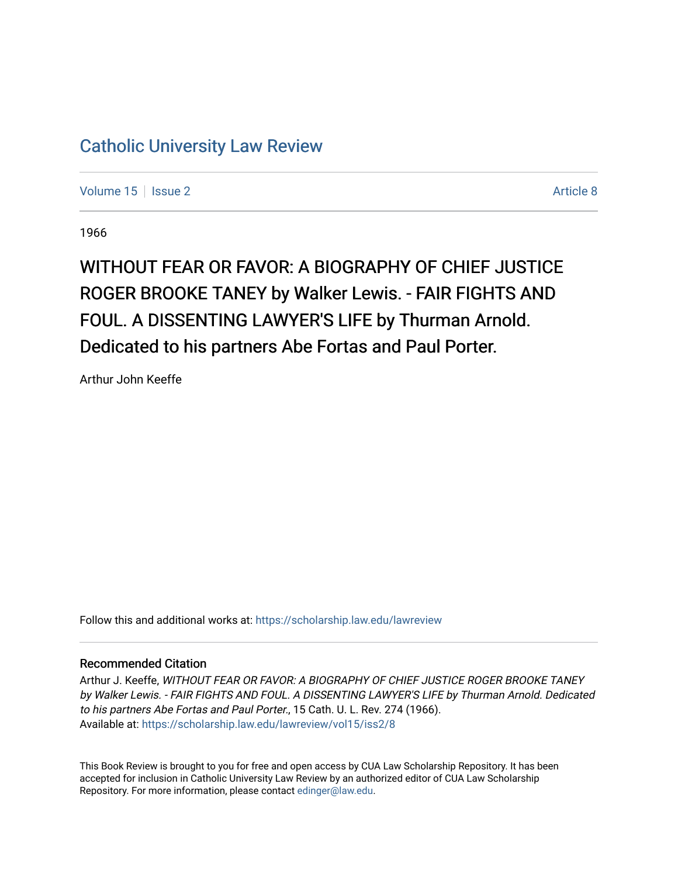## [Catholic University Law Review](https://scholarship.law.edu/lawreview)

[Volume 15](https://scholarship.law.edu/lawreview/vol15) | [Issue 2](https://scholarship.law.edu/lawreview/vol15/iss2) Article 8

1966

## WITHOUT FEAR OR FAVOR: A BIOGRAPHY OF CHIEF JUSTICE ROGER BROOKE TANEY by Walker Lewis. - FAIR FIGHTS AND FOUL. A DISSENTING LAWYER'S LIFE by Thurman Arnold. Dedicated to his partners Abe Fortas and Paul Porter.

Arthur John Keeffe

Follow this and additional works at: [https://scholarship.law.edu/lawreview](https://scholarship.law.edu/lawreview?utm_source=scholarship.law.edu%2Flawreview%2Fvol15%2Fiss2%2F8&utm_medium=PDF&utm_campaign=PDFCoverPages)

## Recommended Citation

Arthur J. Keeffe, WITHOUT FEAR OR FAVOR: A BIOGRAPHY OF CHIEF JUSTICE ROGER BROOKE TANEY by Walker Lewis. - FAIR FIGHTS AND FOUL. A DISSENTING LAWYER'S LIFE by Thurman Arnold. Dedicated to his partners Abe Fortas and Paul Porter., 15 Cath. U. L. Rev. 274 (1966). Available at: [https://scholarship.law.edu/lawreview/vol15/iss2/8](https://scholarship.law.edu/lawreview/vol15/iss2/8?utm_source=scholarship.law.edu%2Flawreview%2Fvol15%2Fiss2%2F8&utm_medium=PDF&utm_campaign=PDFCoverPages)

This Book Review is brought to you for free and open access by CUA Law Scholarship Repository. It has been accepted for inclusion in Catholic University Law Review by an authorized editor of CUA Law Scholarship Repository. For more information, please contact [edinger@law.edu.](mailto:edinger@law.edu)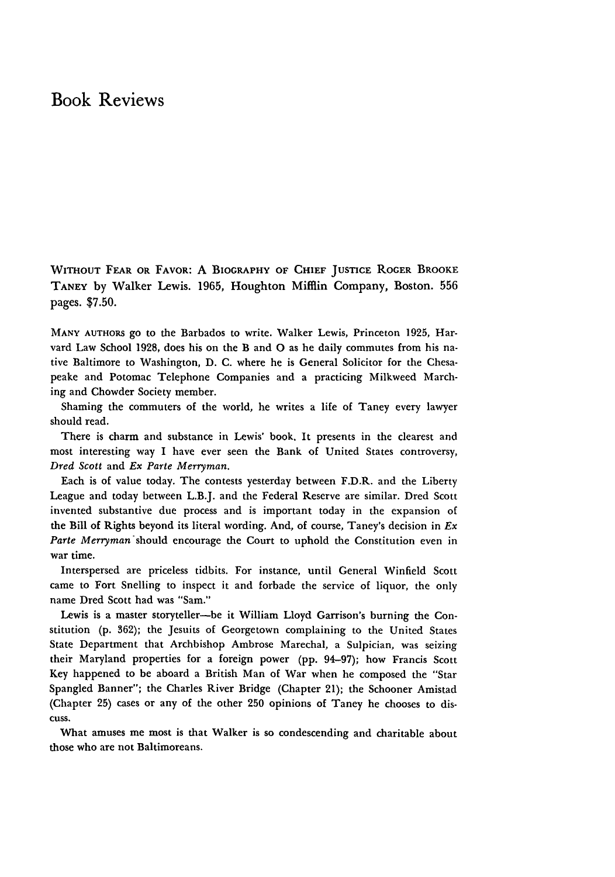## Book Reviews

WITHOUT FEAR OR FAVOR: A BIOGRAPHY OF **CHIEF** JUSTICE ROGER BROOKE TANEY by Walker Lewis. 1965, Houghton Mifflin Company, Boston. **556** pages. \$7.50.

MANY **AUTHORS** go to the Barbados to write. Walker Lewis, Princeton **1925,** Harvard Law School **1928,** does his on the B and **0** as he daily commutes from his native Baltimore to Washington, **D. C.** where he is General Solicitor for the Chesapeake and Potomac Telephone Companies and a practicing Milkweed Marching and Chowder Society member.

Shaming the commuters of the world, he writes a life of Taney every lawyer should read.

There is charm and substance in Lewis' book. It presents in the clearest and most interesting way I have ever seen the Bank of United States controversy, *Dred Scott* and *Ex Parte Merryman.*

Each is of value today. The contests yesterday between F.D.R. and the Liberty League and today between L.B.J. and the Federal Reserve are similar. Dred Scott invented substantive due process and is important today in the expansion of the Bill of Rights beyond its literal wording. And, of course, Taney's decision in *Ex Parte Merryman-should* encourage the Court to uphold the Constitution even in war time.

Interspersed are priceless tidbits. For instance, until General Winfield Scott came to Fort Snelling to inspect it and forbade the service of liquor, the only name Dred Scott had was "Sam."

Lewis is a master storyteller--be it William Lloyd Garrison's burning the Constitution (p. 362); the Jesuits of Georgetown complaining to the United States State Department that Archbishop Ambrose Marechal, a Sulpician, was seizing their Maryland properties for a foreign power (pp. 94-97); how Francis Scott Key happened to be aboard a British Man of War when he composed the "Star Spangled Banner"; the Charles River Bridge (Chapter 21); the Schooner Amistad (Chapter 25) cases or any of the other 250 opinions of Taney he chooses to dis**cuss,**

What amuses me most is that Walker is so condescending and charitable about those who are not Baltimoreans.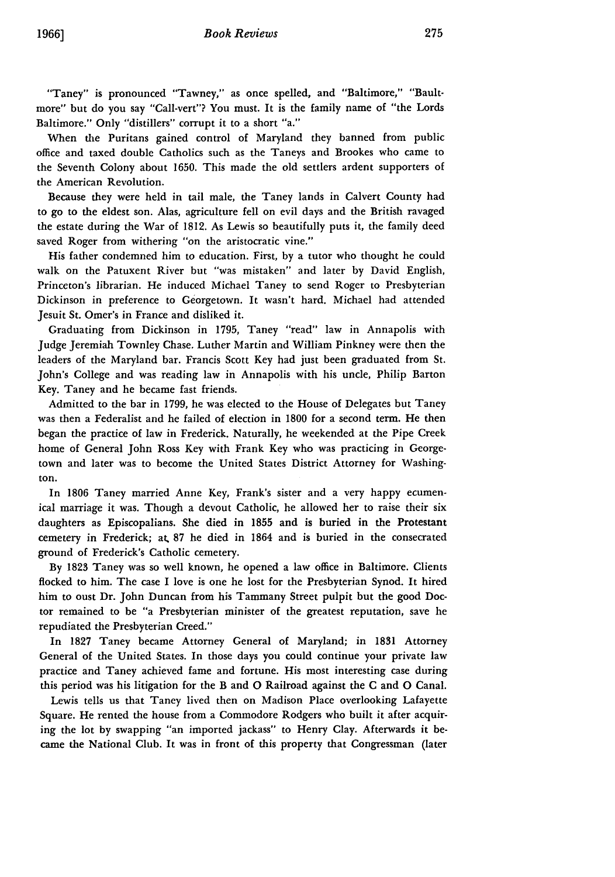"Taney" is pronounced "Tawney," as once spelled, and "Baltimore," "Baultmore" but do you say "Call-vert"? You must. It is the family name of "the Lords Baltimore." Only "distillers" corrupt it to a short "a."

When the Puritans gained control of Maryland they banned from public office and taxed double Catholics such as the Taneys and Brookes who came to the Seventh Colony about 1650. This made the old settlers ardent supporters of the American Revolution.

Because they were held in tail male, the Taney lands in Calvert County had to go to the eldest son. Alas, agriculture fell on evil days and the British ravaged the estate during the War of 1812. As Lewis so beautifully puts it, the family deed saved Roger from withering "on the aristocratic vine."

His father condemned him to education. First, by a tutor who thought he could walk on the Patuxent River but "was mistaken" and later by David English, Princeton's librarian. He induced Michael Taney to send Roger to Presbyterian Dickinson in preference to Georgetown. It wasn't hard. Michael had attended Jesuit St. Omer's in France and disliked it.

Graduating from Dickinson in 1795, Taney "read" law in Annapolis with Judge Jeremiah Townley Chase. Luther Martin and William Pinkney were then the leaders of the Maryland bar. Francis Scott Key had just been graduated from St. John's College and was reading law in Annapolis with his uncle, Philip Barton Key. Taney and he became fast friends.

Admitted to the bar in 1799, he was elected to the House of Delegates but Taney was then a Federalist and he failed of election in **1800** for a second term. He then began the practice of law in Frederick. Naturally, he weekended at the Pipe Creek home of General John Ross Key with Frank Key who was practicing in Georgetown and later was to become the United States District Attorney for Washington.

In 1806 Taney married Anne Key, Frank's sister and a very happy ecumenical marriage it was. Though a devout Catholic, he allowed her to raise their six daughters as Episcopalians. She died in 1855 and is buried in the Protestant cemetery in Frederick; at. 87 he died in 1864 and is buried in the consecrated ground of Frederick's Catholic cemetery.

By 1823 Taney was so well known, he opened a law office in Baltimore. Clients flocked to him. The case I love is one he lost for the Presbyterian Synod. It hired him to oust Dr. John Duncan from his Tammany Street pulpit but the good Doctor remained to be "a Presbyterian minister of the greatest reputation, save he repudiated the Presbyterian Creed."

In 1827 Taney became Attorney General of Maryland; in 1831 Attorney General of the United States. In those days you could continue your private law practice and Taney achieved fame and fortune. His most interesting case during this period was his litigation for the B and **0** Railroad against the C and **0** Canal.

Lewis tells us that Taney lived then on Madison Place overlooking Lafayette Square. He rented the house from a Commodore Rodgers who built it after acquiring the lot by swapping "an imported jackass" to Henry Clay. Afterwards it became the National Club. It was in front of this property that Congressman (later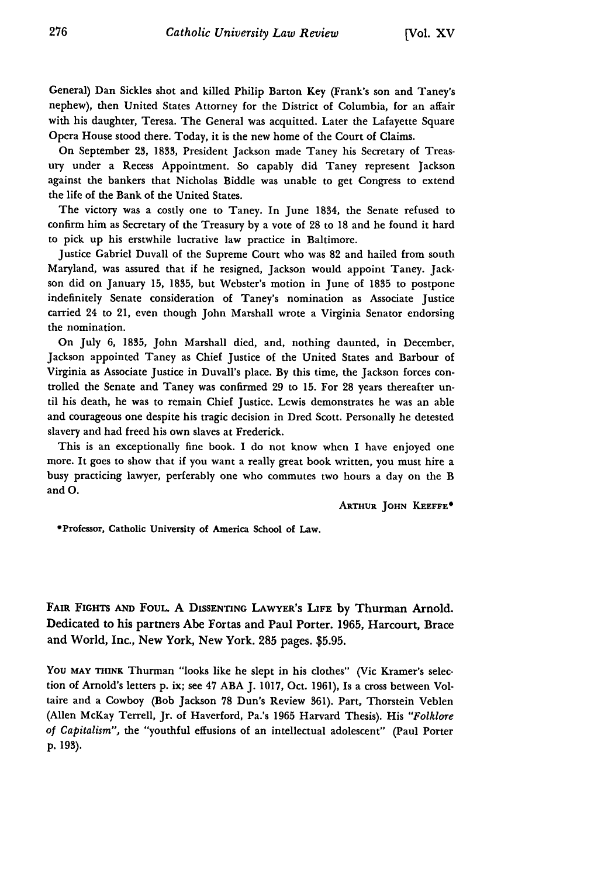General) Dan Sickles shot and killed Philip Barton Key (Frank's son and Taney's nephew), then United States Attorney for the District of Columbia, for an affair with his daughter, Teresa. The General was acquitted. Later the Lafayette Square Opera House stood there. Today, it is the new home of the Court of Claims.

On September **23, 1833,** President Jackson made Taney his Secretary of Treasury under a Recess Appointment. So capably did Taney represent Jackson against the bankers that Nicholas Biddle was unable to get Congress to extend the life of the Bank of the United States.

The victory was a costly one to Taney. In June 1834, the Senate refused to confirm him as Secretary of the Treasury by a vote of **28** to **18** and he found it hard to pick up his erstwhile lucrative law practice in Baltimore.

Justice Gabriel Duvall of the Supreme Court who was **82** and hailed from south Maryland, was assured that if he resigned, Jackson would appoint Taney. Jackson did on January **15, 1835,** but Webster's motion in June of 1835 to postpone indefinitely Senate consideration of Taney's nomination as Associate Justice carried 24 to 21, even though John Marshall wrote a Virginia Senator endorsing the nomination.

On July 6, **1835,** John Marshall died, and, nothing daunted, in December, Jackson appointed Taney as Chief Justice of the United States and Barbour of Virginia as Associate Justice in Duvall's place. **By** this time, the Jackson forces controlled the Senate and Taney was confirmed **29** to **15.** For **28** years thereafter until his death, he was to remain Chief Justice. Lewis demonstrates he was an able and courageous one despite his tragic decision in Dred Scott. Personally he detested slavery and had freed his own slaves at Frederick.

This is an exceptionally fine book. I do not know when I have enjoyed one more. It goes to show that if you want a really great book written, you must hire a busy practicing lawyer, perferably one who commutes two hours a day on the B and **0.**

**ARTHUR JOHN** KEEFFE\*

\*Professor, Catholic University of America School of Law.

FAIR FIGHTS AND FOUL. A DISSENTING LAWYER'S LIFE by Thurman Arnold. Dedicated to his partners Abe Fortas and Paul Porter. 1965, Harcourt, Brace and World, Inc., New York, New York. **285** pages. **\$5.95.**

You MAY THINK Thurman "looks like he slept in his clothes" (Vic Kramer's selection of Arnold's letters **p.** ix; see 47 **ABA J.** 1017, Oct. 1961), Is a cross between Voltaire and a Cowboy (Bob Jackson **78** Dun's Review **361).** Part, Thorstein Veblen (Allen McKay Terrell, Jr. of Haverford, Pa.'s **1965** Harvard Thesis). His *"Folklore of Capitalism",* the "youthful effusions of an intellectual adolescent" (Paul Porter **p. 193).**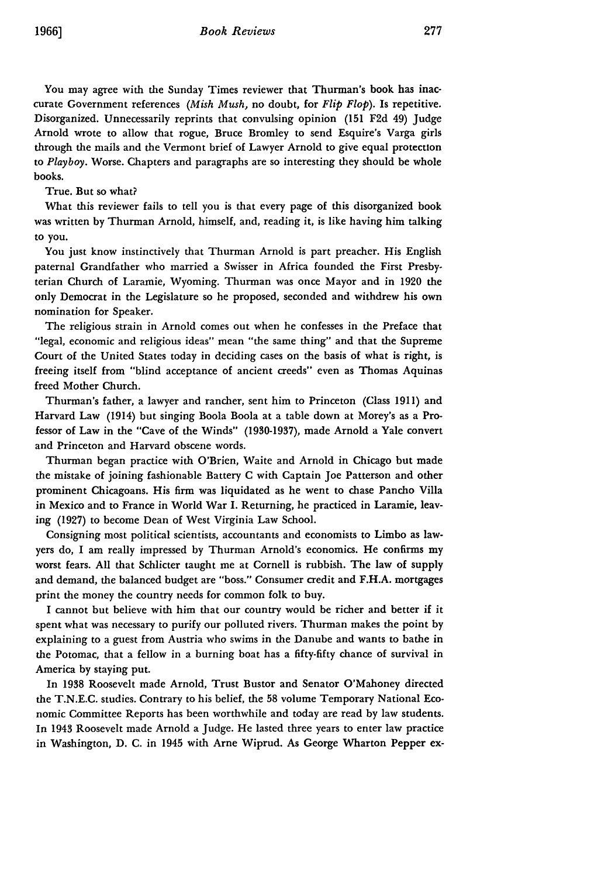You may agree with the Sunday Times reviewer that Thurman's book has inaccurate Government references *(Mish Mush,* no doubt, for *Flip Flop).* Is repetitive. Disorganized. Unnecessarily reprints that convulsing opinion **(151 F2d** 49) Judge Arnold wrote to allow that rogue, Bruce Bromley to send Esquire's Varga girls through the mails and the Vermont brief of Lawyer Arnold to give equal protection to *Playboy.* Worse. Chapters and paragraphs are so interesting they should be whole books.

True. But so what?

**What** this reviewer fails to tell you is that every page of this disorganized book was written **by** Thurman Arnold, himself, and, reading it, is like having him talking to **you.**

You just know instinctively that Thurman Arnold is part preacher. His English paternal Grandfather who married a Swisser in Africa founded the First Presbyterian Church of Laramie, Wyoming. Thurman was once Mayor and in **1920** the only Democrat in the Legislature so he proposed, seconded and withdrew his own nomination for Speaker.

The religious strain in Arnold comes out when he confesses in the Preface that "legal, economic and religious ideas" mean "the same thing" and that the Supreme Court of the United States today in deciding cases on the basis of what is right, is freeing itself from "blind acceptance of ancient creeds" even as Thomas Aquinas freed Mother Church.

Thurman's father, a lawyer and rancher, sent him to Princeton (Class **1911)** and Harvard Law (1914) but singing Boola Boola at a table down at Morey's as a Professor of Law in the "Cave of the Winds" **(1930-1937),** made Arnold a Yale convert and Princeton and Harvard obscene words.

Thurman began practice with O'Brien, Waite and Arnold in Chicago but made the mistake of joining fashionable Battery **C** with Captain Joe Patterson and other prominent Chicagoans. His firm was liquidated as he went to chase Pancho Villa in Mexico and to France in World War **I.** Returning, he practiced in Laramie, leaving **(1927)** to become Dean of West Virginia Law School.

Consigning most political scientists, accountants and economists to Limbo as lawyers do, I am really impressed **by** Thurman Arnold's economics. He confirms my worst fears. **All** that Schlicter taught me at Cornell is rubbish. The law of supply and demand, the balanced budget are "boss." Consumer credit and **F.H.A.** mortgages print the money the country needs for common folk to buy.

I cannot but believe with him that our country would be richer and better if it spent what was necessary to purify our polluted rivers. Thurman makes the point **by** explaining to a guest from Austria who swims in the Danube and wants to bathe in the Potomac, that a fellow in a burning boat has a fifty-fifty chance of survival in America **by** staying put.

In **1938** Roosevelt made Arnold, Trust Bustor and Senator O'Mahoney directed the **T.N.E.C.** studies. Contrary to his belief, the **58** volume Temporary National Economic Committee Reports has been worthwhile and today are read **by** law students. In 1943 Roosevelt made Arnold a Judge. He lasted three years to enter law practice in Washington, **D.** C. in 1945 with Arne Wiprud. As George Wharton Pepper **ex-**